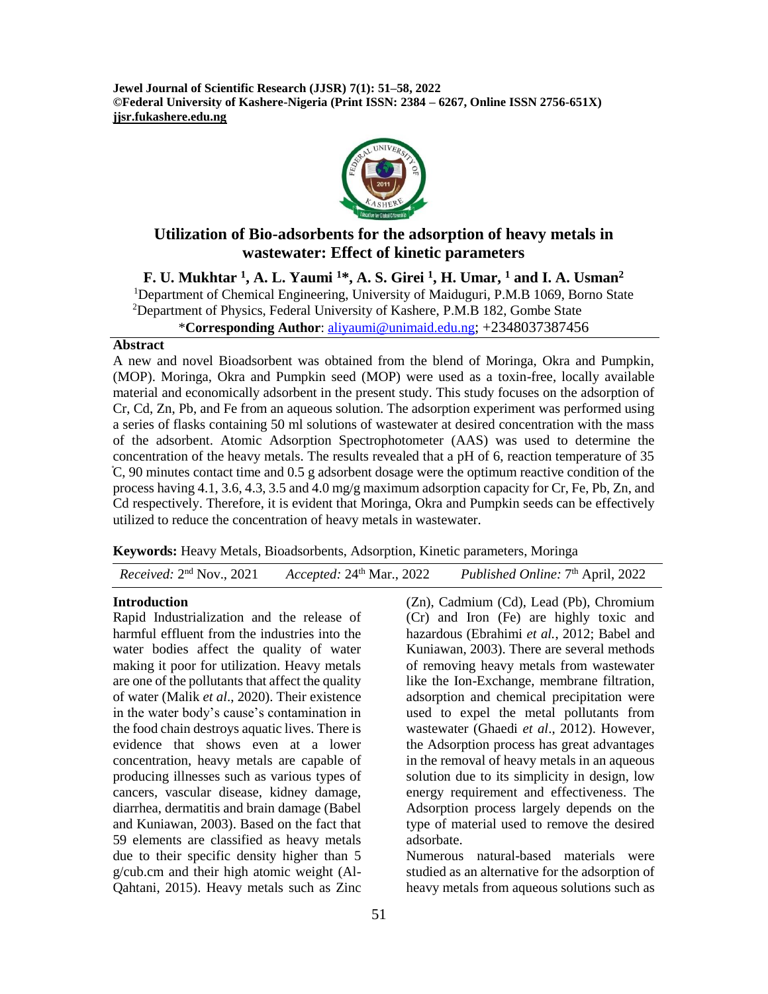**Jewel Journal of Scientific Research (JJSR) 7(1): 51–58, 2022 ©Federal University of Kashere-Nigeria (Print ISSN: 2384 – 6267, Online ISSN 2756-651X) jjsr.fukashere.edu.ng**



# **Utilization of Bio-adsorbents for the adsorption of heavy metals in wastewater: Effect of kinetic parameters**

**F. U. Mukhtar <sup>1</sup> , A. L. Yaumi <sup>1</sup>\*, A. S. Girei <sup>1</sup> , H. Umar, <sup>1</sup> and I. A. Usman<sup>2</sup>** <sup>1</sup>Department of Chemical Engineering, University of Maiduguri, P.M.B 1069, Borno State  $2$ Department of Physics, Federal University of Kashere, P.M.B 182, Gombe State

\***Corresponding Author**: [aliyaumi@unimaid.edu.ng](mailto:aliyaumi@unimaid.edu.ng); +2348037387456

### **Abstract**

A new and novel Bioadsorbent was obtained from the blend of Moringa, Okra and Pumpkin, (MOP). Moringa, Okra and Pumpkin seed (MOP) were used as a toxin-free, locally available material and economically adsorbent in the present study. This study focuses on the adsorption of Cr, Cd, Zn, Pb, and Fe from an aqueous solution. The adsorption experiment was performed using a series of flasks containing 50 ml solutions of wastewater at desired concentration with the mass of the adsorbent. Atomic Adsorption Spectrophotometer (AAS) was used to determine the concentration of the heavy metals. The results revealed that a pH of 6, reaction temperature of 35  $\mathbb{C}$ , 90 minutes contact time and 0.5 g adsorbent dosage were the optimum reactive condition of the process having 4.1, 3.6, 4.3, 3.5 and 4.0 mg/g maximum adsorption capacity for Cr, Fe, Pb, Zn, and Cd respectively. Therefore, it is evident that Moringa, Okra and Pumpkin seeds can be effectively utilized to reduce the concentration of heavy metals in wastewater.

**Keywords:** Heavy Metals, Bioadsorbents, Adsorption, Kinetic parameters, Moringa

| <i>Received:</i> $2nd$ Nov., 2021<br>Accepted: $24th$ Mar., 2022 | Published Online: 7 <sup>th</sup> April, 2022 |
|------------------------------------------------------------------|-----------------------------------------------|
|------------------------------------------------------------------|-----------------------------------------------|

### **Introduction**

Rapid Industrialization and the release of harmful effluent from the industries into the water bodies affect the quality of water making it poor for utilization. Heavy metals are one of the pollutants that affect the quality of water (Malik *et al*., 2020). Their existence in the water body's cause's contamination in the food chain destroys aquatic lives. There is evidence that shows even at a lower concentration, heavy metals are capable of producing illnesses such as various types of cancers, vascular disease, kidney damage, diarrhea, dermatitis and brain damage (Babel and Kuniawan, 2003). Based on the fact that 59 elements are classified as heavy metals due to their specific density higher than 5 g/cub.cm and their high atomic weight (Al-Qahtani, 2015). Heavy metals such as Zinc

(Zn), Cadmium (Cd), Lead (Pb), Chromium (Cr) and Iron (Fe) are highly toxic and hazardous (Ebrahimi *et al.*, 2012; Babel and Kuniawan, 2003). There are several methods of removing heavy metals from wastewater like the Ion-Exchange, membrane filtration, adsorption and chemical precipitation were used to expel the metal pollutants from wastewater (Ghaedi *et al*., 2012). However, the Adsorption process has great advantages in the removal of heavy metals in an aqueous solution due to its simplicity in design, low energy requirement and effectiveness. The Adsorption process largely depends on the type of material used to remove the desired adsorbate.

Numerous natural-based materials were studied as an alternative for the adsorption of heavy metals from aqueous solutions such as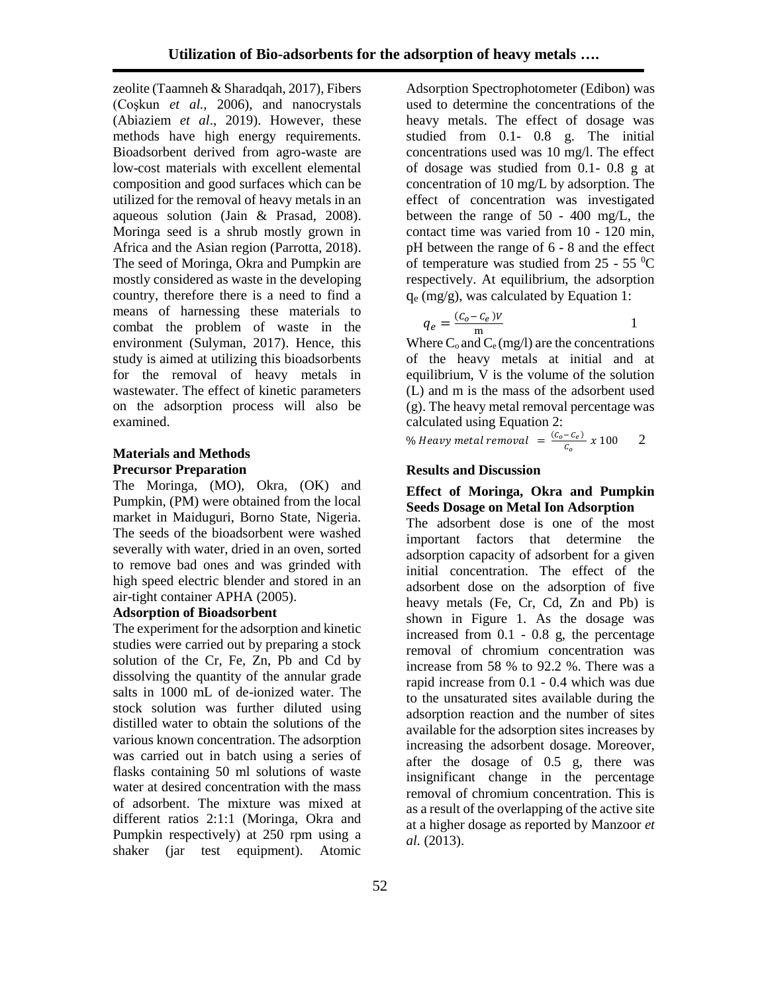zeolite (Taamneh & Sharadqah, 2017), Fibers (Coşkun *et al.,* 2006), and nanocrystals (Abiaziem *et al*., 2019). However, these methods have high energy requirements. Bioadsorbent derived from agro-waste are low-cost materials with excellent elemental composition and good surfaces which can be utilized for the removal of heavy metals in an aqueous solution (Jain & Prasad, 2008). Moringa seed is a shrub mostly grown in Africa and the Asian region (Parrotta, 2018). The seed of Moringa, Okra and Pumpkin are mostly considered as waste in the developing country, therefore there is a need to find a means of harnessing these materials to combat the problem of waste in the environment (Sulyman, 2017). Hence, this study is aimed at utilizing this bioadsorbents for the removal of heavy metals in wastewater. The effect of kinetic parameters on the adsorption process will also be examined.

## **Materials and Methods Precursor Preparation**

The Moringa, (MO), Okra, (OK) and Pumpkin, (PM) were obtained from the local market in Maiduguri, Borno State, Nigeria. The seeds of the bioadsorbent were washed severally with water, dried in an oven, sorted to remove bad ones and was grinded with high speed electric blender and stored in an air-tight container APHA (2005).

### **Adsorption of Bioadsorbent**

The experiment for the adsorption and kinetic studies were carried out by preparing a stock solution of the Cr, Fe, Zn, Pb and Cd by dissolving the quantity of the annular grade salts in 1000 mL of de-ionized water. The stock solution was further diluted using distilled water to obtain the solutions of the various known concentration. The adsorption was carried out in batch using a series of flasks containing 50 ml solutions of waste water at desired concentration with the mass of adsorbent. The mixture was mixed at different ratios 2:1:1 (Moringa, Okra and Pumpkin respectively) at 250 rpm using a shaker (jar test equipment). Atomic

Adsorption Spectrophotometer (Edibon) was used to determine the concentrations of the heavy metals. The effect of dosage was studied from 0.1- 0.8 g. The initial concentrations used was 10 mg/l. The effect of dosage was studied from 0.1- 0.8 g at concentration of 10 mg/L by adsorption. The effect of concentration was investigated between the range of 50 - 400 mg/L, the contact time was varied from 10 - 120 min, pH between the range of 6 - 8 and the effect of temperature was studied from  $25 - 55$  °C respectively. At equilibrium, the adsorption  $q_e$  (mg/g), was calculated by Equation 1:

$$
q_e = \frac{(C_0 - C_e)V}{m}
$$

 $\frac{1}{\text{m}}$  1 Where  $C_0$  and  $C_e$  (mg/l) are the concentrations of the heavy metals at initial and at equilibrium, V is the volume of the solution (L) and m is the mass of the adsorbent used (g). The heavy metal removal percentage was calculated using Equation 2:

% Heavy metal removal  $= \frac{(C_o - C_e)}{c}$  $\frac{(-c_e)}{c_o}$  x 100 2

### **Results and Discussion**

### **Effect of Moringa, Okra and Pumpkin Seeds Dosage on Metal Ion Adsorption**

The adsorbent dose is one of the most important factors that determine the adsorption capacity of adsorbent for a given initial concentration. The effect of the adsorbent dose on the adsorption of five heavy metals (Fe, Cr, Cd, Zn and Pb) is shown in Figure 1. As the dosage was increased from 0.1 - 0.8 g, the percentage removal of chromium concentration was increase from 58 % to 92.2 %. There was a rapid increase from 0.1 - 0.4 which was due to the unsaturated sites available during the adsorption reaction and the number of sites available for the adsorption sites increases by increasing the adsorbent dosage. Moreover, after the dosage of 0.5 g, there was insignificant change in the percentage removal of chromium concentration. This is as a result of the overlapping of the active site at a higher dosage as reported by Manzoor *et al.* (2013).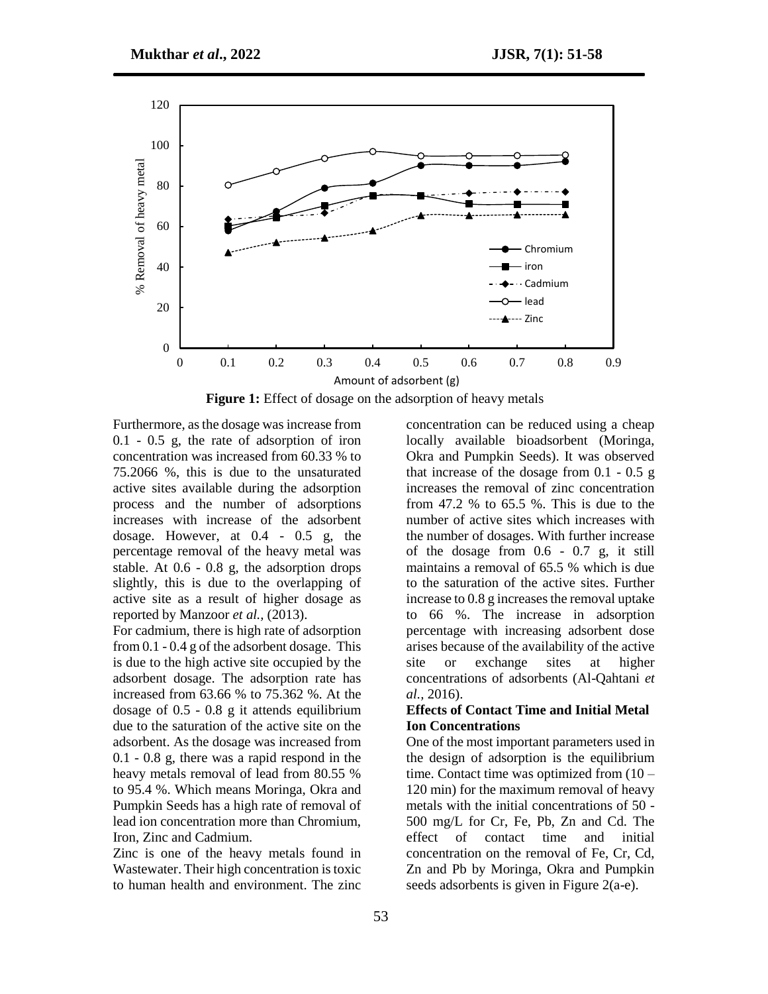

**Figure 1:** Effect of dosage on the adsorption of heavy metals

Furthermore, as the dosage was increase from 0.1 - 0.5 g, the rate of adsorption of iron concentration was increased from 60.33 % to 75.2066 %, this is due to the unsaturated active sites available during the adsorption process and the number of adsorptions increases with increase of the adsorbent dosage. However, at 0.4 - 0.5 g, the percentage removal of the heavy metal was stable. At 0.6 - 0.8 g, the adsorption drops slightly, this is due to the overlapping of active site as a result of higher dosage as reported by Manzoor *et al.,* (2013).

For cadmium, there is high rate of adsorption from 0.1 - 0.4 g of the adsorbent dosage. This is due to the high active site occupied by the adsorbent dosage. The adsorption rate has increased from 63.66 % to 75.362 %. At the dosage of 0.5 - 0.8 g it attends equilibrium due to the saturation of the active site on the adsorbent. As the dosage was increased from 0.1 - 0.8 g, there was a rapid respond in the heavy metals removal of lead from 80.55 % to 95.4 %. Which means Moringa, Okra and Pumpkin Seeds has a high rate of removal of lead ion concentration more than Chromium, Iron, Zinc and Cadmium.

Zinc is one of the heavy metals found in Wastewater. Their high concentration is toxic to human health and environment. The zinc concentration can be reduced using a cheap locally available bioadsorbent (Moringa, Okra and Pumpkin Seeds). It was observed that increase of the dosage from  $0.1 - 0.5$  g increases the removal of zinc concentration from 47.2 % to 65.5 %. This is due to the number of active sites which increases with the number of dosages. With further increase of the dosage from 0.6 - 0.7 g, it still maintains a removal of 65.5 % which is due to the saturation of the active sites. Further increase to 0.8 g increases the removal uptake to 66 %. The increase in adsorption percentage with increasing adsorbent dose arises because of the availability of the active site or exchange sites at higher concentrations of adsorbents (Al-Qahtani *et al.,* 2016).

### **Effects of Contact Time and Initial Metal Ion Concentrations**

One of the most important parameters used in the design of adsorption is the equilibrium time. Contact time was optimized from (10 – 120 min) for the maximum removal of heavy metals with the initial concentrations of 50 - 500 mg/L for Cr, Fe, Pb, Zn and Cd. The effect of contact time and initial concentration on the removal of Fe, Cr, Cd, Zn and Pb by Moringa, Okra and Pumpkin seeds adsorbents is given in Figure 2(a-e).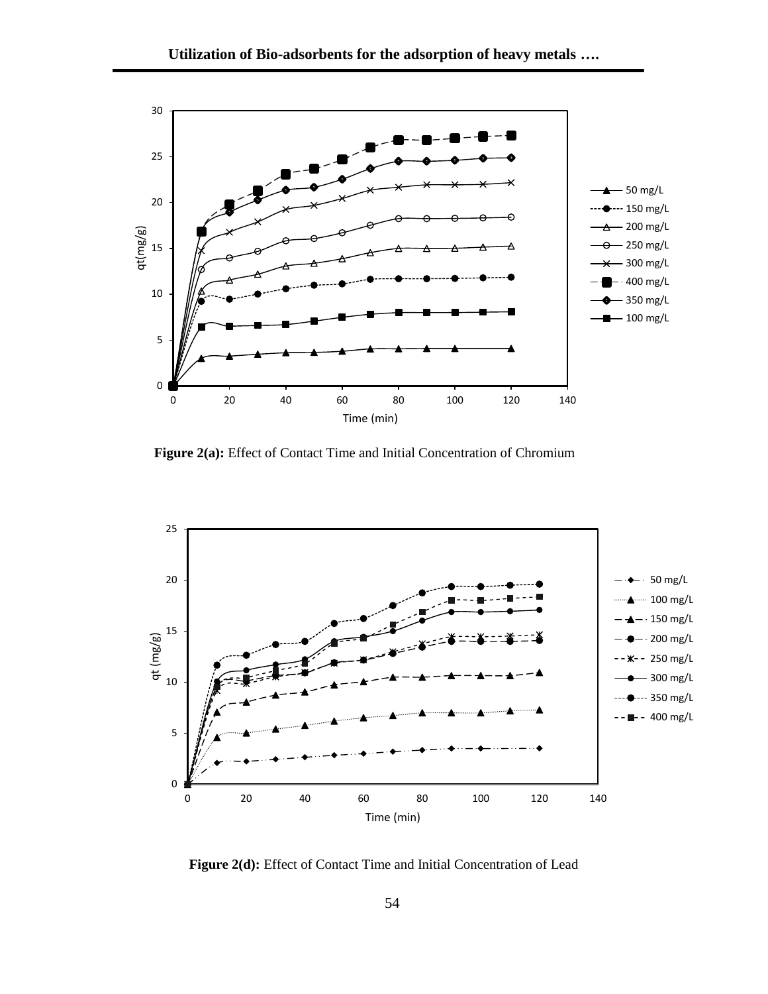

 **Figure 2(a):** Effect of Contact Time and Initial Concentration of Chromium



Figure 2(d): Effect of Contact Time and Initial Concentration of Lead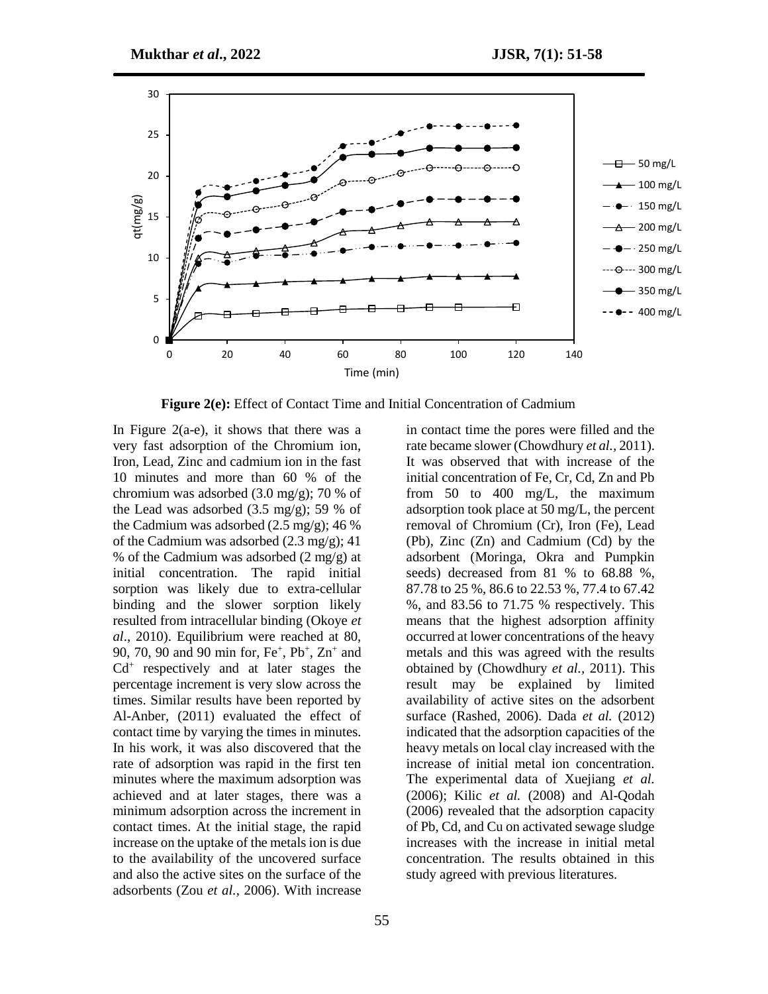

**Figure 2(e):** Effect of Contact Time and Initial Concentration of Cadmium

In Figure 2(a-e), it shows that there was a very fast adsorption of the Chromium ion, Iron, Lead, Zinc and cadmium ion in the fast 10 minutes and more than 60 % of the chromium was adsorbed (3.0 mg/g); 70 % of the Lead was adsorbed  $(3.5 \text{ mg/g})$ ; 59 % of the Cadmium was adsorbed (2.5 mg/g); 46 % of the Cadmium was adsorbed (2.3 mg/g); 41 % of the Cadmium was adsorbed  $(2 \text{ mg/g})$  at initial concentration. The rapid initial sorption was likely due to extra-cellular binding and the slower sorption likely resulted from intracellular binding (Okoye *et al*., 2010). Equilibrium were reached at 80, 90, 70, 90 and 90 min for, Fe<sup>+</sup>, Pb<sup>+</sup>, Zn<sup>+</sup> and Cd<sup>+</sup> respectively and at later stages the percentage increment is very slow across the times. Similar results have been reported by Al-Anber, (2011) evaluated the effect of contact time by varying the times in minutes. In his work, it was also discovered that the rate of adsorption was rapid in the first ten minutes where the maximum adsorption was achieved and at later stages, there was a minimum adsorption across the increment in contact times. At the initial stage, the rapid increase on the uptake of the metals ion is due to the availability of the uncovered surface and also the active sites on the surface of the adsorbents (Zou *et al.,* 2006). With increase

in contact time the pores were filled and the rate became slower (Chowdhury *et al.,* 2011). It was observed that with increase of the initial concentration of Fe, Cr, Cd, Zn and Pb from 50 to 400 mg/L, the maximum adsorption took place at 50 mg/L, the percent removal of Chromium (Cr), Iron (Fe), Lead (Pb), Zinc (Zn) and Cadmium (Cd) by the adsorbent (Moringa, Okra and Pumpkin seeds) decreased from 81 % to 68.88 %, 87.78 to 25 %, 86.6 to 22.53 %, 77.4 to 67.42 %, and 83.56 to 71.75 % respectively. This means that the highest adsorption affinity occurred at lower concentrations of the heavy metals and this was agreed with the results obtained by (Chowdhury *et al.,* 2011). This result may be explained by limited availability of active sites on the adsorbent surface (Rashed, 2006). Dada *et al.* (2012) indicated that the adsorption capacities of the heavy metals on local clay increased with the increase of initial metal ion concentration. The experimental data of Xuejiang *et al.* (2006); Kilic *et al.* (2008) and Al-Qodah (2006) revealed that the adsorption capacity of Pb, Cd, and Cu on activated sewage sludge increases with the increase in initial metal concentration. The results obtained in this study agreed with previous literatures.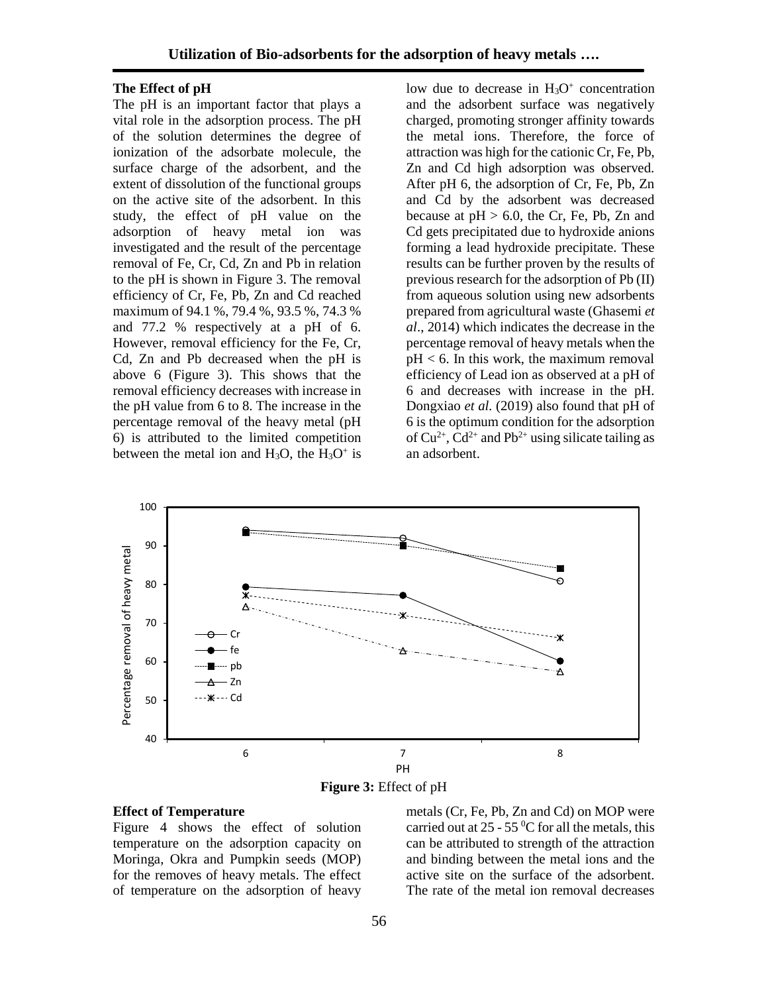### **The Effect of pH**

The pH is an important factor that plays a vital role in the adsorption process. The pH of the solution determines the degree of ionization of the adsorbate molecule, the surface charge of the adsorbent, and the extent of dissolution of the functional groups on the active site of the adsorbent. In this study, the effect of pH value on the adsorption of heavy metal ion was investigated and the result of the percentage removal of Fe, Cr, Cd, Zn and Pb in relation to the pH is shown in Figure 3. The removal efficiency of Cr, Fe, Pb, Zn and Cd reached maximum of 94.1 %, 79.4 %, 93.5 %, 74.3 % and 77.2 % respectively at a pH of 6. However, removal efficiency for the Fe, Cr, Cd, Zn and Pb decreased when the pH is above 6 (Figure 3). This shows that the removal efficiency decreases with increase in the pH value from 6 to 8. The increase in the percentage removal of the heavy metal (pH 6) is attributed to the limited competition between the metal ion and  $H_3O$ , the  $H_3O^+$  is

low due to decrease in  $H_3O^+$  concentration and the adsorbent surface was negatively charged, promoting stronger affinity towards the metal ions. Therefore, the force of attraction was high for the cationic Cr, Fe, Pb, Zn and Cd high adsorption was observed. After pH 6, the adsorption of Cr, Fe, Pb, Zn and Cd by the adsorbent was decreased because at  $pH > 6.0$ , the Cr, Fe, Pb, Zn and Cd gets precipitated due to hydroxide anions forming a lead hydroxide precipitate. These results can be further proven by the results of previous research for the adsorption of Pb (II) from aqueous solution using new adsorbents prepared from agricultural waste (Ghasemi *et al*., 2014) which indicates the decrease in the percentage removal of heavy metals when the pH < 6. In this work, the maximum removal efficiency of Lead ion as observed at a pH of 6 and decreases with increase in the pH. Dongxiao *et al.* (2019) also found that pH of 6 is the optimum condition for the adsorption of  $Cu^{2+}$ ,  $Cd^{2+}$  and  $Pb^{2+}$  using silicate tailing as an adsorbent.





#### **Effect of Temperature**

Figure 4 shows the effect of solution temperature on the adsorption capacity on Moringa, Okra and Pumpkin seeds (MOP) for the removes of heavy metals. The effect of temperature on the adsorption of heavy

metals (Cr, Fe, Pb, Zn and Cd) on MOP were carried out at  $25 - 55$  °C for all the metals, this can be attributed to strength of the attraction and binding between the metal ions and the active site on the surface of the adsorbent. The rate of the metal ion removal decreases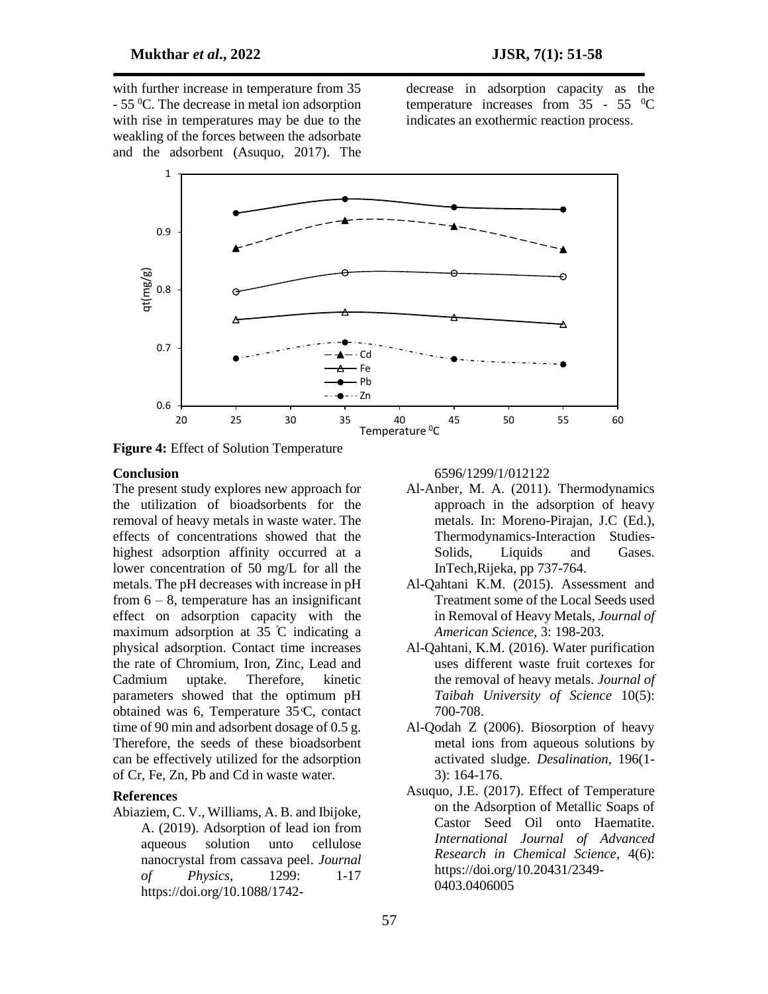with further increase in temperature from 35 - 55 <sup>0</sup>C. The decrease in metal ion adsorption with rise in temperatures may be due to the weakling of the forces between the adsorbate and the adsorbent (Asuquo, 2017). The

decrease in adsorption capacity as the temperature increases from  $35 - 55$  <sup>0</sup>C indicates an exothermic reaction process.



**Figure 4:** Effect of Solution Temperature

#### **Conclusion**

The present study explores new approach for the utilization of bioadsorbents for the removal of heavy metals in waste water. The effects of concentrations showed that the highest adsorption affinity occurred at a lower concentration of 50 mg/L for all the metals. The pH decreases with increase in pH from  $6 - 8$ , temperature has an insignificant effect on adsorption capacity with the maximum adsorption at  $35^{\circ}$ C indicating a physical adsorption. Contact time increases the rate of Chromium, Iron, Zinc, Lead and Cadmium uptake. Therefore, kinetic parameters showed that the optimum pH obtained was 6, Temperature  $35C$ , contact time of 90 min and adsorbent dosage of 0.5 g. Therefore, the seeds of these bioadsorbent can be effectively utilized for the adsorption of Cr, Fe, Zn, Pb and Cd in waste water.

### **References**

Abiaziem, C. V., Williams, A. B. and Ibijoke, A. (2019). Adsorption of lead ion from aqueous solution unto cellulose nanocrystal from cassava peel. *Journal of Physics*, 1299: 1-17 https://doi.org/10.1088/17426596/1299/1/012122

- Al-Anber, M. A. (2011). Thermodynamics approach in the adsorption of heavy metals. In: Moreno-Pirajan, J.C (Ed.), Thermodynamics-Interaction Studies-Solids, Liquids and Gases. InTech,Rijeka, pp 737-764.
- Al-Qahtani K.M. (2015). Assessment and Treatment some of the Local Seeds used in Removal of Heavy Metals, *Journal of American Science*, 3: 198-203.
- Al-Qahtani, K.M. (2016). Water purification uses different waste fruit cortexes for the removal of heavy metals. *Journal of Taibah University of Science* 10(5): 700-708.
- Al-Qodah Z (2006). Biosorption of heavy metal ions from aqueous solutions by activated sludge. *Desalination*, 196(1- 3): 164-176.
- Asuquo, J.E. (2017). Effect of Temperature on the Adsorption of Metallic Soaps of Castor Seed Oil onto Haematite. *International Journal of Advanced Research in Chemical Science*, 4(6): https://doi.org/10.20431/2349- 0403.0406005